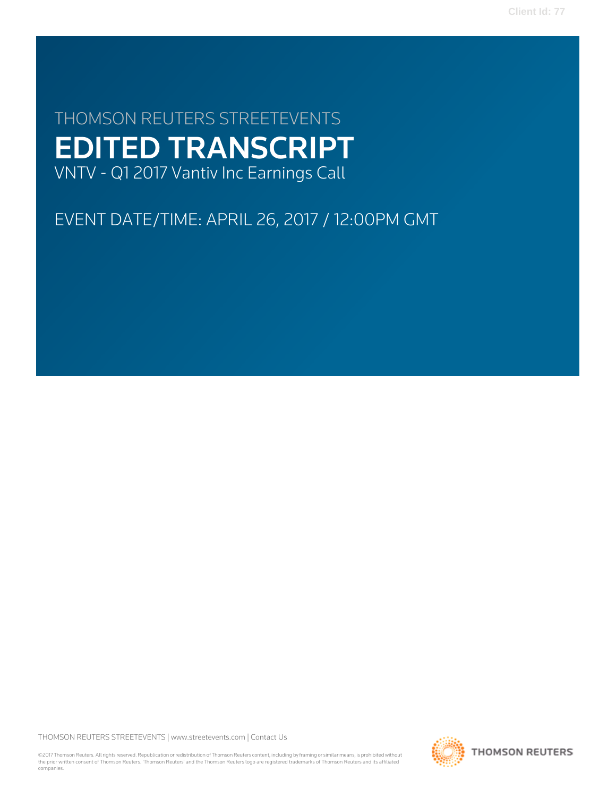**Client Id: 77**

# THOMSON REUTERS STREETEVENTS EDITED TRANSCRIPT VNTV - Q1 2017 Vantiv Inc Earnings Call

EVENT DATE/TIME: APRIL 26, 2017 / 12:00PM GMT

THOMSON REUTERS STREETEVENTS | [www.streetevents.com](http://www.streetevents.com) | [Contact Us](http://www010.streetevents.com/contact.asp)

©2017 Thomson Reuters. All rights reserved. Republication or redistribution of Thomson Reuters content, including by framing or similar means, is prohibited without the prior written consent of Thomson Reuters. 'Thomson Reuters' and the Thomson Reuters logo are registered trademarks of Thomson Reuters and its affiliated companies.

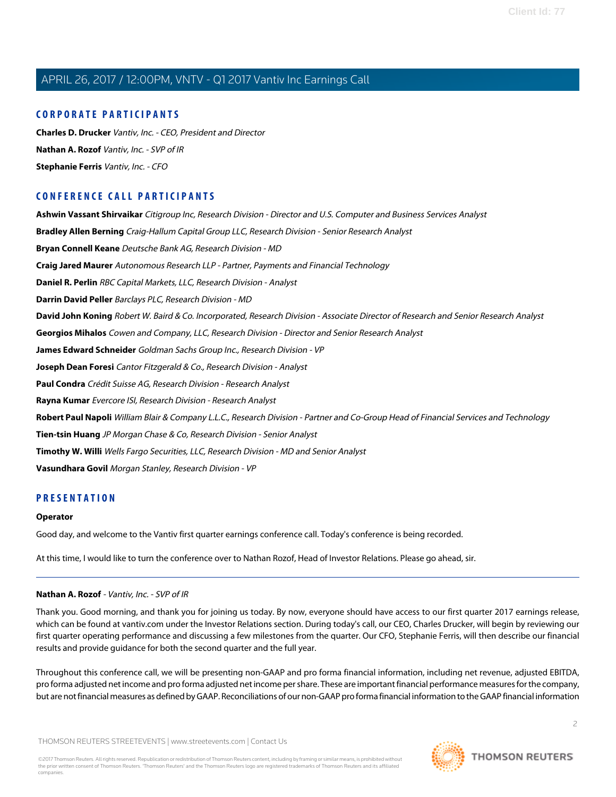### **CORPORATE PARTICIPANTS**

**[Charles D. Drucker](#page-2-0)** Vantiv, Inc. - CEO, President and Director **[Nathan A. Rozof](#page-1-0)** Vantiv, Inc. - SVP of IR **[Stephanie Ferris](#page-3-0)** Vantiv, Inc. - CFO

# **CONFERENCE CALL PARTICIPANTS**

**[Ashwin Vassant Shirvaikar](#page-6-0)** Citigroup Inc, Research Division - Director and U.S. Computer and Business Services Analyst **[Bradley Allen Berning](#page-15-0)** Craig-Hallum Capital Group LLC, Research Division - Senior Research Analyst **[Bryan Connell Keane](#page-10-0)** Deutsche Bank AG, Research Division - MD **[Craig Jared Maurer](#page-15-1)** Autonomous Research LLP - Partner, Payments and Financial Technology **[Daniel R. Perlin](#page-5-0)** RBC Capital Markets, LLC, Research Division - Analyst **[Darrin David Peller](#page-12-0)** Barclays PLC, Research Division - MD **[David John Koning](#page-4-0)** Robert W. Baird & Co. Incorporated, Research Division - Associate Director of Research and Senior Research Analyst **[Georgios Mihalos](#page-8-0)** Cowen and Company, LLC, Research Division - Director and Senior Research Analyst **[James Edward Schneider](#page-7-0)** Goldman Sachs Group Inc., Research Division - VP **[Joseph Dean Foresi](#page-16-0)** Cantor Fitzgerald & Co., Research Division - Analyst **[Paul Condra](#page-13-0)** Crédit Suisse AG, Research Division - Research Analyst **[Rayna Kumar](#page-11-0)** Evercore ISI, Research Division - Research Analyst **[Robert Paul Napoli](#page-17-0)** William Blair & Company L.L.C., Research Division - Partner and Co-Group Head of Financial Services and Technology **[Tien-tsin Huang](#page-9-0)** JP Morgan Chase & Co, Research Division - Senior Analyst **[Timothy W. Willi](#page-14-0)** Wells Fargo Securities, LLC, Research Division - MD and Senior Analyst **[Vasundhara Govil](#page-13-1)** Morgan Stanley, Research Division - VP

# **PRESENTATION**

#### **Operator**

<span id="page-1-0"></span>Good day, and welcome to the Vantiv first quarter earnings conference call. Today's conference is being recorded.

At this time, I would like to turn the conference over to Nathan Rozof, Head of Investor Relations. Please go ahead, sir.

#### **Nathan A. Rozof** - Vantiv, Inc. - SVP of IR

Thank you. Good morning, and thank you for joining us today. By now, everyone should have access to our first quarter 2017 earnings release, which can be found at vantiv.com under the Investor Relations section. During today's call, our CEO, Charles Drucker, will begin by reviewing our first quarter operating performance and discussing a few milestones from the quarter. Our CFO, Stephanie Ferris, will then describe our financial results and provide guidance for both the second quarter and the full year.

Throughout this conference call, we will be presenting non-GAAP and pro forma financial information, including net revenue, adjusted EBITDA, pro forma adjusted net income and pro forma adjusted net income per share. These are important financial performance measures for the company, but are not financial measures as defined by GAAP. Reconciliations of our non-GAAP pro forma financial information to the GAAP financial information

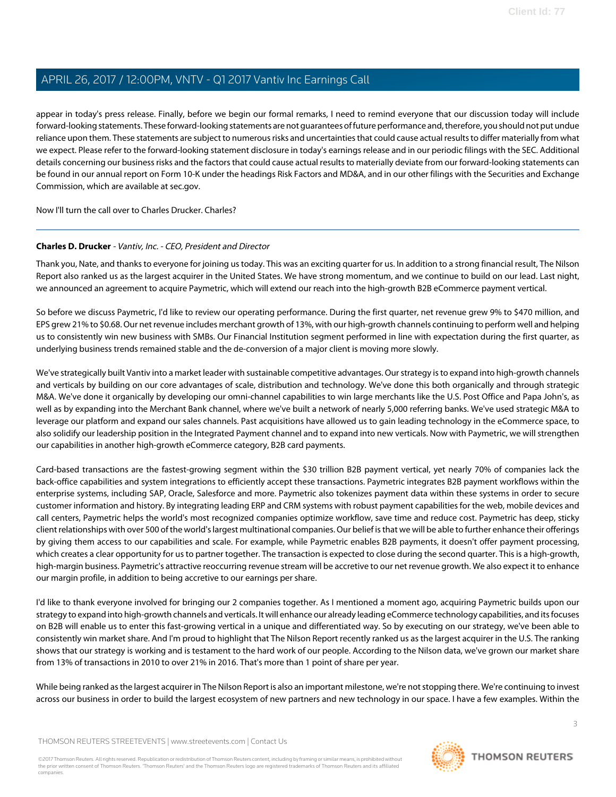appear in today's press release. Finally, before we begin our formal remarks, I need to remind everyone that our discussion today will include forward-looking statements. These forward-looking statements are not guarantees of future performance and, therefore, you should not put undue reliance upon them. These statements are subject to numerous risks and uncertainties that could cause actual results to differ materially from what we expect. Please refer to the forward-looking statement disclosure in today's earnings release and in our periodic filings with the SEC. Additional details concerning our business risks and the factors that could cause actual results to materially deviate from our forward-looking statements can be found in our annual report on Form 10-K under the headings Risk Factors and MD&A, and in our other filings with the Securities and Exchange Commission, which are available at sec.gov.

<span id="page-2-0"></span>Now I'll turn the call over to Charles Drucker. Charles?

### **Charles D. Drucker** - Vantiv, Inc. - CEO, President and Director

Thank you, Nate, and thanks to everyone for joining us today. This was an exciting quarter for us. In addition to a strong financial result, The Nilson Report also ranked us as the largest acquirer in the United States. We have strong momentum, and we continue to build on our lead. Last night, we announced an agreement to acquire Paymetric, which will extend our reach into the high-growth B2B eCommerce payment vertical.

So before we discuss Paymetric, I'd like to review our operating performance. During the first quarter, net revenue grew 9% to \$470 million, and EPS grew 21% to \$0.68. Our net revenue includes merchant growth of 13%, with our high-growth channels continuing to perform well and helping us to consistently win new business with SMBs. Our Financial Institution segment performed in line with expectation during the first quarter, as underlying business trends remained stable and the de-conversion of a major client is moving more slowly.

We've strategically built Vantiv into a market leader with sustainable competitive advantages. Our strategy is to expand into high-growth channels and verticals by building on our core advantages of scale, distribution and technology. We've done this both organically and through strategic M&A. We've done it organically by developing our omni-channel capabilities to win large merchants like the U.S. Post Office and Papa John's, as well as by expanding into the Merchant Bank channel, where we've built a network of nearly 5,000 referring banks. We've used strategic M&A to leverage our platform and expand our sales channels. Past acquisitions have allowed us to gain leading technology in the eCommerce space, to also solidify our leadership position in the Integrated Payment channel and to expand into new verticals. Now with Paymetric, we will strengthen our capabilities in another high-growth eCommerce category, B2B card payments.

Card-based transactions are the fastest-growing segment within the \$30 trillion B2B payment vertical, yet nearly 70% of companies lack the back-office capabilities and system integrations to efficiently accept these transactions. Paymetric integrates B2B payment workflows within the enterprise systems, including SAP, Oracle, Salesforce and more. Paymetric also tokenizes payment data within these systems in order to secure customer information and history. By integrating leading ERP and CRM systems with robust payment capabilities for the web, mobile devices and call centers, Paymetric helps the world's most recognized companies optimize workflow, save time and reduce cost. Paymetric has deep, sticky client relationships with over 500 of the world's largest multinational companies. Our belief is that we will be able to further enhance their offerings by giving them access to our capabilities and scale. For example, while Paymetric enables B2B payments, it doesn't offer payment processing, which creates a clear opportunity for us to partner together. The transaction is expected to close during the second quarter. This is a high-growth, high-margin business. Paymetric's attractive reoccurring revenue stream will be accretive to our net revenue growth. We also expect it to enhance our margin profile, in addition to being accretive to our earnings per share.

I'd like to thank everyone involved for bringing our 2 companies together. As I mentioned a moment ago, acquiring Paymetric builds upon our strategy to expand into high-growth channels and verticals. It will enhance our already leading eCommerce technology capabilities, and its focuses on B2B will enable us to enter this fast-growing vertical in a unique and differentiated way. So by executing on our strategy, we've been able to consistently win market share. And I'm proud to highlight that The Nilson Report recently ranked us as the largest acquirer in the U.S. The ranking shows that our strategy is working and is testament to the hard work of our people. According to the Nilson data, we've grown our market share from 13% of transactions in 2010 to over 21% in 2016. That's more than 1 point of share per year.

While being ranked as the largest acquirer in The Nilson Report is also an important milestone, we're not stopping there. We're continuing to invest across our business in order to build the largest ecosystem of new partners and new technology in our space. I have a few examples. Within the

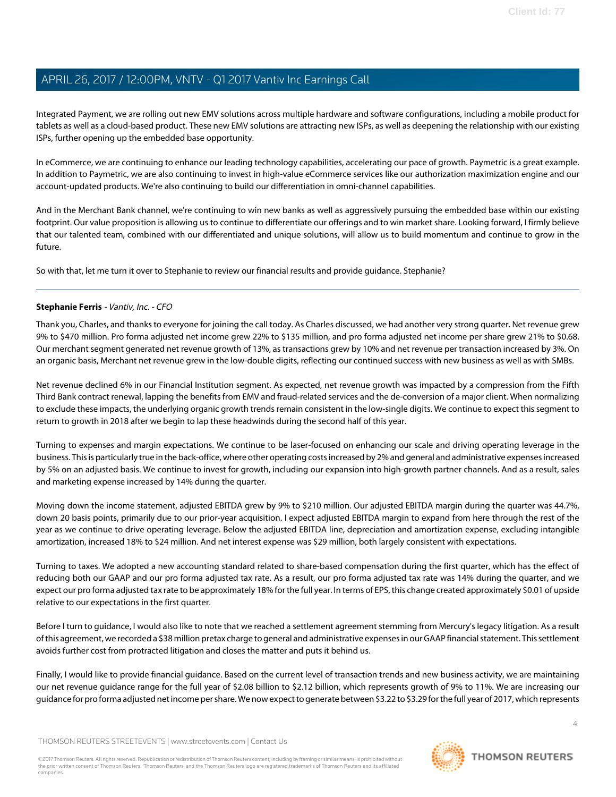Integrated Payment, we are rolling out new EMV solutions across multiple hardware and software configurations, including a mobile product for tablets as well as a cloud-based product. These new EMV solutions are attracting new ISPs, as well as deepening the relationship with our existing ISPs, further opening up the embedded base opportunity.

In eCommerce, we are continuing to enhance our leading technology capabilities, accelerating our pace of growth. Paymetric is a great example. In addition to Paymetric, we are also continuing to invest in high-value eCommerce services like our authorization maximization engine and our account-updated products. We're also continuing to build our differentiation in omni-channel capabilities.

And in the Merchant Bank channel, we're continuing to win new banks as well as aggressively pursuing the embedded base within our existing footprint. Our value proposition is allowing us to continue to differentiate our offerings and to win market share. Looking forward, I firmly believe that our talented team, combined with our differentiated and unique solutions, will allow us to build momentum and continue to grow in the future.

<span id="page-3-0"></span>So with that, let me turn it over to Stephanie to review our financial results and provide guidance. Stephanie?

#### **Stephanie Ferris** - Vantiv, Inc. - CFO

Thank you, Charles, and thanks to everyone for joining the call today. As Charles discussed, we had another very strong quarter. Net revenue grew 9% to \$470 million. Pro forma adjusted net income grew 22% to \$135 million, and pro forma adjusted net income per share grew 21% to \$0.68. Our merchant segment generated net revenue growth of 13%, as transactions grew by 10% and net revenue per transaction increased by 3%. On an organic basis, Merchant net revenue grew in the low-double digits, reflecting our continued success with new business as well as with SMBs.

Net revenue declined 6% in our Financial Institution segment. As expected, net revenue growth was impacted by a compression from the Fifth Third Bank contract renewal, lapping the benefits from EMV and fraud-related services and the de-conversion of a major client. When normalizing to exclude these impacts, the underlying organic growth trends remain consistent in the low-single digits. We continue to expect this segment to return to growth in 2018 after we begin to lap these headwinds during the second half of this year.

Turning to expenses and margin expectations. We continue to be laser-focused on enhancing our scale and driving operating leverage in the business. This is particularly true in the back-office, where other operating costs increased by 2% and general and administrative expenses increased by 5% on an adjusted basis. We continue to invest for growth, including our expansion into high-growth partner channels. And as a result, sales and marketing expense increased by 14% during the quarter.

Moving down the income statement, adjusted EBITDA grew by 9% to \$210 million. Our adjusted EBITDA margin during the quarter was 44.7%, down 20 basis points, primarily due to our prior-year acquisition. I expect adjusted EBITDA margin to expand from here through the rest of the year as we continue to drive operating leverage. Below the adjusted EBITDA line, depreciation and amortization expense, excluding intangible amortization, increased 18% to \$24 million. And net interest expense was \$29 million, both largely consistent with expectations.

Turning to taxes. We adopted a new accounting standard related to share-based compensation during the first quarter, which has the effect of reducing both our GAAP and our pro forma adjusted tax rate. As a result, our pro forma adjusted tax rate was 14% during the quarter, and we expect our pro forma adjusted tax rate to be approximately 18% for the full year. In terms of EPS, this change created approximately \$0.01 of upside relative to our expectations in the first quarter.

Before I turn to guidance, I would also like to note that we reached a settlement agreement stemming from Mercury's legacy litigation. As a result of this agreement, we recorded a \$38 million pretax charge to general and administrative expenses in our GAAP financial statement. This settlement avoids further cost from protracted litigation and closes the matter and puts it behind us.

Finally, I would like to provide financial guidance. Based on the current level of transaction trends and new business activity, we are maintaining our net revenue guidance range for the full year of \$2.08 billion to \$2.12 billion, which represents growth of 9% to 11%. We are increasing our guidance for pro forma adjusted net income per share. We now expect to generate between \$3.22 to \$3.29 for the full year of 2017, which represents

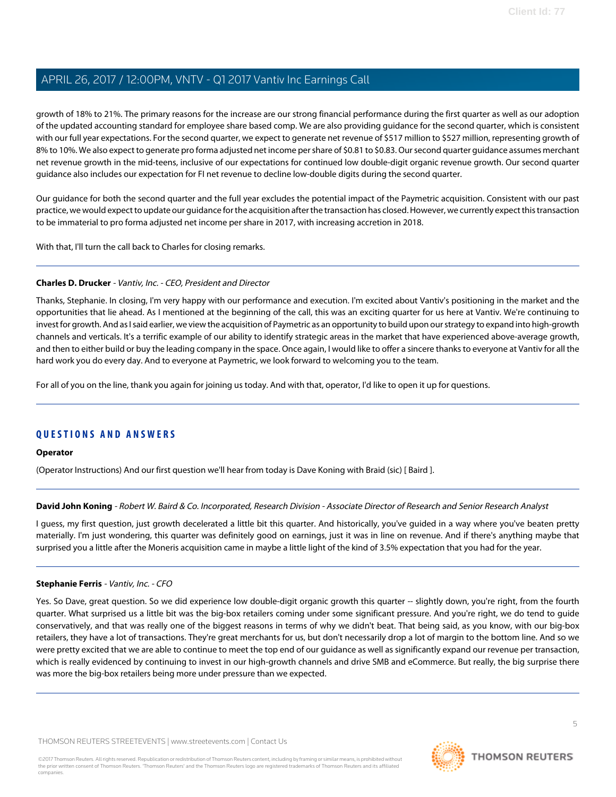growth of 18% to 21%. The primary reasons for the increase are our strong financial performance during the first quarter as well as our adoption of the updated accounting standard for employee share based comp. We are also providing guidance for the second quarter, which is consistent with our full year expectations. For the second quarter, we expect to generate net revenue of \$517 million to \$527 million, representing growth of 8% to 10%. We also expect to generate pro forma adjusted net income per share of \$0.81 to \$0.83. Our second quarter guidance assumes merchant net revenue growth in the mid-teens, inclusive of our expectations for continued low double-digit organic revenue growth. Our second quarter guidance also includes our expectation for FI net revenue to decline low-double digits during the second quarter.

Our guidance for both the second quarter and the full year excludes the potential impact of the Paymetric acquisition. Consistent with our past practice, we would expect to update our guidance for the acquisition after the transaction has closed. However, we currently expect this transaction to be immaterial to pro forma adjusted net income per share in 2017, with increasing accretion in 2018.

With that, I'll turn the call back to Charles for closing remarks.

#### **Charles D. Drucker** - Vantiv, Inc. - CEO, President and Director

Thanks, Stephanie. In closing, I'm very happy with our performance and execution. I'm excited about Vantiv's positioning in the market and the opportunities that lie ahead. As I mentioned at the beginning of the call, this was an exciting quarter for us here at Vantiv. We're continuing to invest for growth. And as I said earlier, we view the acquisition of Paymetric as an opportunity to build upon our strategy to expand into high-growth channels and verticals. It's a terrific example of our ability to identify strategic areas in the market that have experienced above-average growth, and then to either build or buy the leading company in the space. Once again, I would like to offer a sincere thanks to everyone at Vantiv for all the hard work you do every day. And to everyone at Paymetric, we look forward to welcoming you to the team.

For all of you on the line, thank you again for joining us today. And with that, operator, I'd like to open it up for questions.

# **QUESTIONS AND ANSWERS**

#### <span id="page-4-0"></span>**Operator**

(Operator Instructions) And our first question we'll hear from today is Dave Koning with Braid (sic) [ Baird ].

#### **David John Koning** - Robert W. Baird & Co. Incorporated, Research Division - Associate Director of Research and Senior Research Analyst

I guess, my first question, just growth decelerated a little bit this quarter. And historically, you've guided in a way where you've beaten pretty materially. I'm just wondering, this quarter was definitely good on earnings, just it was in line on revenue. And if there's anything maybe that surprised you a little after the Moneris acquisition came in maybe a little light of the kind of 3.5% expectation that you had for the year.

#### **Stephanie Ferris** - Vantiv, Inc. - CFO

Yes. So Dave, great question. So we did experience low double-digit organic growth this quarter -- slightly down, you're right, from the fourth quarter. What surprised us a little bit was the big-box retailers coming under some significant pressure. And you're right, we do tend to guide conservatively, and that was really one of the biggest reasons in terms of why we didn't beat. That being said, as you know, with our big-box retailers, they have a lot of transactions. They're great merchants for us, but don't necessarily drop a lot of margin to the bottom line. And so we were pretty excited that we are able to continue to meet the top end of our guidance as well as significantly expand our revenue per transaction, which is really evidenced by continuing to invest in our high-growth channels and drive SMB and eCommerce. But really, the big surprise there was more the big-box retailers being more under pressure than we expected.

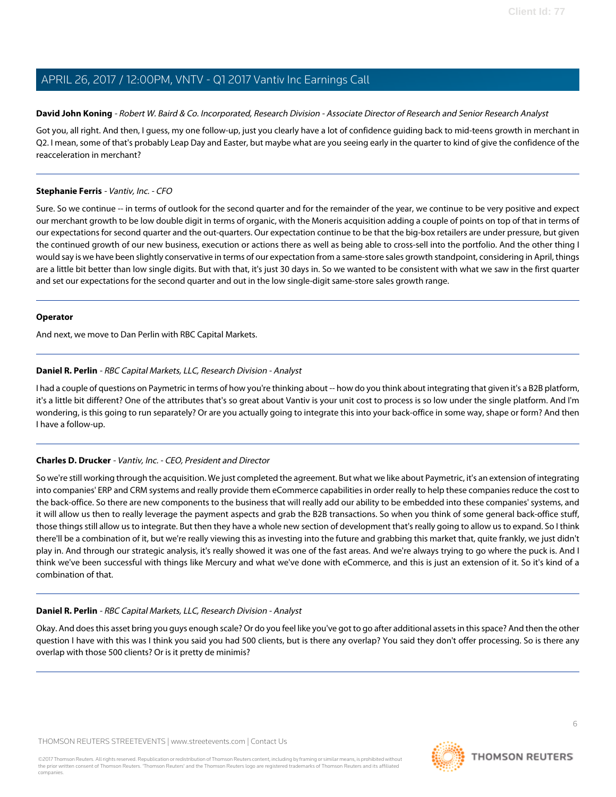#### **David John Koning** - Robert W. Baird & Co. Incorporated, Research Division - Associate Director of Research and Senior Research Analyst

Got you, all right. And then, I guess, my one follow-up, just you clearly have a lot of confidence guiding back to mid-teens growth in merchant in Q2. I mean, some of that's probably Leap Day and Easter, but maybe what are you seeing early in the quarter to kind of give the confidence of the reacceleration in merchant?

#### **Stephanie Ferris** - Vantiv, Inc. - CFO

Sure. So we continue -- in terms of outlook for the second quarter and for the remainder of the year, we continue to be very positive and expect our merchant growth to be low double digit in terms of organic, with the Moneris acquisition adding a couple of points on top of that in terms of our expectations for second quarter and the out-quarters. Our expectation continue to be that the big-box retailers are under pressure, but given the continued growth of our new business, execution or actions there as well as being able to cross-sell into the portfolio. And the other thing I would say is we have been slightly conservative in terms of our expectation from a same-store sales growth standpoint, considering in April, things are a little bit better than low single digits. But with that, it's just 30 days in. So we wanted to be consistent with what we saw in the first quarter and set our expectations for the second quarter and out in the low single-digit same-store sales growth range.

#### **Operator**

<span id="page-5-0"></span>And next, we move to Dan Perlin with RBC Capital Markets.

### **Daniel R. Perlin** - RBC Capital Markets, LLC, Research Division - Analyst

I had a couple of questions on Paymetric in terms of how you're thinking about -- how do you think about integrating that given it's a B2B platform, it's a little bit different? One of the attributes that's so great about Vantiv is your unit cost to process is so low under the single platform. And I'm wondering, is this going to run separately? Or are you actually going to integrate this into your back-office in some way, shape or form? And then I have a follow-up.

### **Charles D. Drucker** - Vantiv, Inc. - CEO, President and Director

So we're still working through the acquisition. We just completed the agreement. But what we like about Paymetric, it's an extension of integrating into companies' ERP and CRM systems and really provide them eCommerce capabilities in order really to help these companies reduce the cost to the back-office. So there are new components to the business that will really add our ability to be embedded into these companies' systems, and it will allow us then to really leverage the payment aspects and grab the B2B transactions. So when you think of some general back-office stuff, those things still allow us to integrate. But then they have a whole new section of development that's really going to allow us to expand. So I think there'll be a combination of it, but we're really viewing this as investing into the future and grabbing this market that, quite frankly, we just didn't play in. And through our strategic analysis, it's really showed it was one of the fast areas. And we're always trying to go where the puck is. And I think we've been successful with things like Mercury and what we've done with eCommerce, and this is just an extension of it. So it's kind of a combination of that.

### **Daniel R. Perlin** - RBC Capital Markets, LLC, Research Division - Analyst

Okay. And does this asset bring you guys enough scale? Or do you feel like you've got to go after additional assets in this space? And then the other question I have with this was I think you said you had 500 clients, but is there any overlap? You said they don't offer processing. So is there any overlap with those 500 clients? Or is it pretty de minimis?

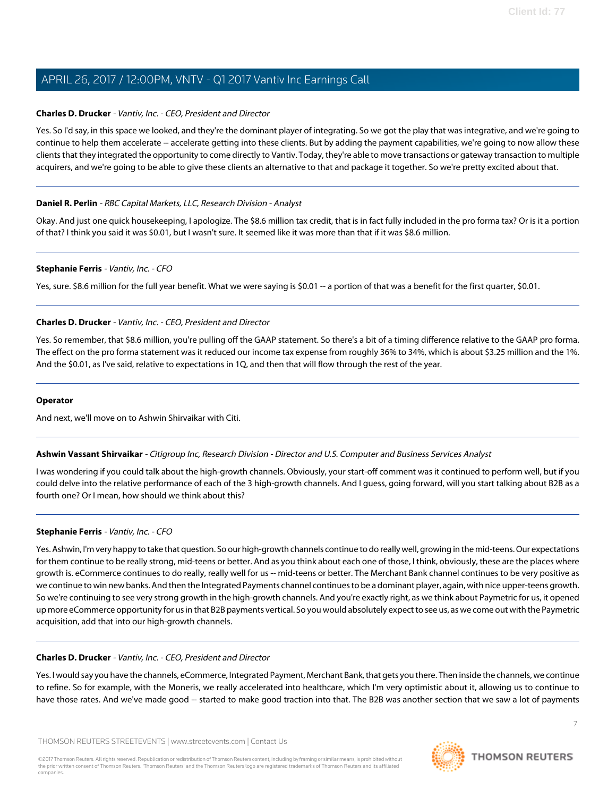#### **Charles D. Drucker** - Vantiv, Inc. - CEO, President and Director

Yes. So I'd say, in this space we looked, and they're the dominant player of integrating. So we got the play that was integrative, and we're going to continue to help them accelerate -- accelerate getting into these clients. But by adding the payment capabilities, we're going to now allow these clients that they integrated the opportunity to come directly to Vantiv. Today, they're able to move transactions or gateway transaction to multiple acquirers, and we're going to be able to give these clients an alternative to that and package it together. So we're pretty excited about that.

#### **Daniel R. Perlin** - RBC Capital Markets, LLC, Research Division - Analyst

Okay. And just one quick housekeeping, I apologize. The \$8.6 million tax credit, that is in fact fully included in the pro forma tax? Or is it a portion of that? I think you said it was \$0.01, but I wasn't sure. It seemed like it was more than that if it was \$8.6 million.

#### **Stephanie Ferris** - Vantiv, Inc. - CFO

Yes, sure. \$8.6 million for the full year benefit. What we were saying is \$0.01 -- a portion of that was a benefit for the first quarter, \$0.01.

#### **Charles D. Drucker** - Vantiv, Inc. - CEO, President and Director

Yes. So remember, that \$8.6 million, you're pulling off the GAAP statement. So there's a bit of a timing difference relative to the GAAP pro forma. The effect on the pro forma statement was it reduced our income tax expense from roughly 36% to 34%, which is about \$3.25 million and the 1%. And the \$0.01, as I've said, relative to expectations in 1Q, and then that will flow through the rest of the year.

#### <span id="page-6-0"></span>**Operator**

And next, we'll move on to Ashwin Shirvaikar with Citi.

#### **Ashwin Vassant Shirvaikar** - Citigroup Inc, Research Division - Director and U.S. Computer and Business Services Analyst

I was wondering if you could talk about the high-growth channels. Obviously, your start-off comment was it continued to perform well, but if you could delve into the relative performance of each of the 3 high-growth channels. And I guess, going forward, will you start talking about B2B as a fourth one? Or I mean, how should we think about this?

#### **Stephanie Ferris** - Vantiv, Inc. - CFO

Yes. Ashwin, I'm very happy to take that question. So our high-growth channels continue to do really well, growing in the mid-teens. Our expectations for them continue to be really strong, mid-teens or better. And as you think about each one of those, I think, obviously, these are the places where growth is. eCommerce continues to do really, really well for us -- mid-teens or better. The Merchant Bank channel continues to be very positive as we continue to win new banks. And then the Integrated Payments channel continues to be a dominant player, again, with nice upper-teens growth. So we're continuing to see very strong growth in the high-growth channels. And you're exactly right, as we think about Paymetric for us, it opened up more eCommerce opportunity for us in that B2B payments vertical. So you would absolutely expect to see us, as we come out with the Paymetric acquisition, add that into our high-growth channels.

#### **Charles D. Drucker** - Vantiv, Inc. - CEO, President and Director

Yes. I would say you have the channels, eCommerce, Integrated Payment, Merchant Bank, that gets you there. Then inside the channels, we continue to refine. So for example, with the Moneris, we really accelerated into healthcare, which I'm very optimistic about it, allowing us to continue to have those rates. And we've made good -- started to make good traction into that. The B2B was another section that we saw a lot of payments

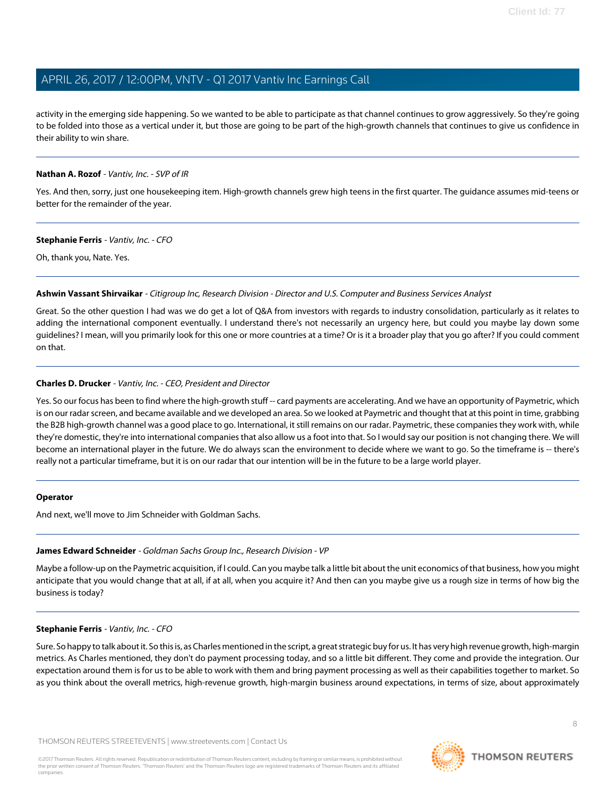activity in the emerging side happening. So we wanted to be able to participate as that channel continues to grow aggressively. So they're going to be folded into those as a vertical under it, but those are going to be part of the high-growth channels that continues to give us confidence in their ability to win share.

#### **Nathan A. Rozof** - Vantiv, Inc. - SVP of IR

Yes. And then, sorry, just one housekeeping item. High-growth channels grew high teens in the first quarter. The guidance assumes mid-teens or better for the remainder of the year.

#### **Stephanie Ferris** - Vantiv, Inc. - CFO

Oh, thank you, Nate. Yes.

#### **Ashwin Vassant Shirvaikar** - Citigroup Inc, Research Division - Director and U.S. Computer and Business Services Analyst

Great. So the other question I had was we do get a lot of Q&A from investors with regards to industry consolidation, particularly as it relates to adding the international component eventually. I understand there's not necessarily an urgency here, but could you maybe lay down some guidelines? I mean, will you primarily look for this one or more countries at a time? Or is it a broader play that you go after? If you could comment on that.

### **Charles D. Drucker** - Vantiv, Inc. - CEO, President and Director

Yes. So our focus has been to find where the high-growth stuff -- card payments are accelerating. And we have an opportunity of Paymetric, which is on our radar screen, and became available and we developed an area. So we looked at Paymetric and thought that at this point in time, grabbing the B2B high-growth channel was a good place to go. International, it still remains on our radar. Paymetric, these companies they work with, while they're domestic, they're into international companies that also allow us a foot into that. So I would say our position is not changing there. We will become an international player in the future. We do always scan the environment to decide where we want to go. So the timeframe is -- there's really not a particular timeframe, but it is on our radar that our intention will be in the future to be a large world player.

#### <span id="page-7-0"></span>**Operator**

And next, we'll move to Jim Schneider with Goldman Sachs.

# **James Edward Schneider** - Goldman Sachs Group Inc., Research Division - VP

Maybe a follow-up on the Paymetric acquisition, if I could. Can you maybe talk a little bit about the unit economics of that business, how you might anticipate that you would change that at all, if at all, when you acquire it? And then can you maybe give us a rough size in terms of how big the business is today?

# **Stephanie Ferris** - Vantiv, Inc. - CFO

Sure. So happy to talk about it. So this is, as Charles mentioned in the script, a great strategic buy for us. It has very high revenue growth, high-margin metrics. As Charles mentioned, they don't do payment processing today, and so a little bit different. They come and provide the integration. Our expectation around them is for us to be able to work with them and bring payment processing as well as their capabilities together to market. So as you think about the overall metrics, high-revenue growth, high-margin business around expectations, in terms of size, about approximately

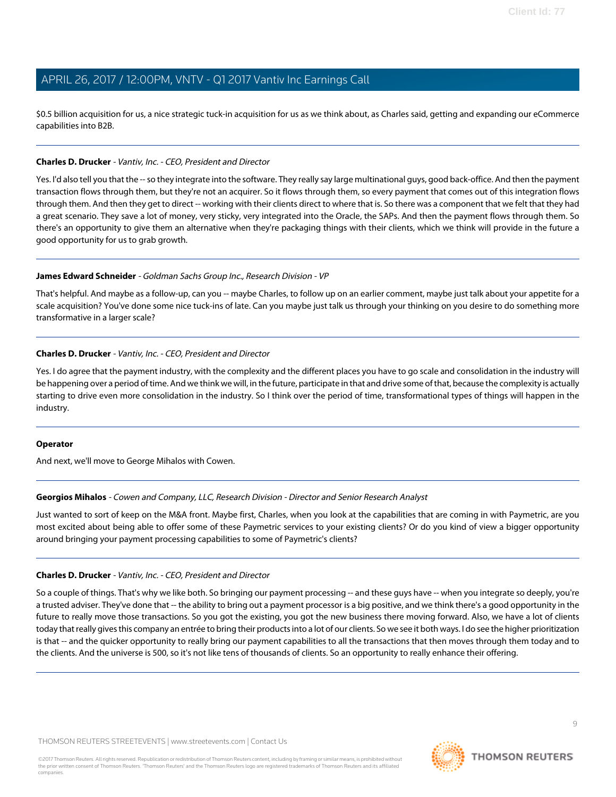\$0.5 billion acquisition for us, a nice strategic tuck-in acquisition for us as we think about, as Charles said, getting and expanding our eCommerce capabilities into B2B.

#### **Charles D. Drucker** - Vantiv, Inc. - CEO, President and Director

Yes. I'd also tell you that the -- so they integrate into the software. They really say large multinational guys, good back-office. And then the payment transaction flows through them, but they're not an acquirer. So it flows through them, so every payment that comes out of this integration flows through them. And then they get to direct -- working with their clients direct to where that is. So there was a component that we felt that they had a great scenario. They save a lot of money, very sticky, very integrated into the Oracle, the SAPs. And then the payment flows through them. So there's an opportunity to give them an alternative when they're packaging things with their clients, which we think will provide in the future a good opportunity for us to grab growth.

#### **James Edward Schneider** - Goldman Sachs Group Inc., Research Division - VP

That's helpful. And maybe as a follow-up, can you -- maybe Charles, to follow up on an earlier comment, maybe just talk about your appetite for a scale acquisition? You've done some nice tuck-ins of late. Can you maybe just talk us through your thinking on you desire to do something more transformative in a larger scale?

#### **Charles D. Drucker** - Vantiv, Inc. - CEO, President and Director

Yes. I do agree that the payment industry, with the complexity and the different places you have to go scale and consolidation in the industry will be happening over a period of time. And we think we will, in the future, participate in that and drive some of that, because the complexity is actually starting to drive even more consolidation in the industry. So I think over the period of time, transformational types of things will happen in the industry.

#### <span id="page-8-0"></span>**Operator**

And next, we'll move to George Mihalos with Cowen.

#### **Georgios Mihalos** - Cowen and Company, LLC, Research Division - Director and Senior Research Analyst

Just wanted to sort of keep on the M&A front. Maybe first, Charles, when you look at the capabilities that are coming in with Paymetric, are you most excited about being able to offer some of these Paymetric services to your existing clients? Or do you kind of view a bigger opportunity around bringing your payment processing capabilities to some of Paymetric's clients?

#### **Charles D. Drucker** - Vantiv, Inc. - CEO, President and Director

So a couple of things. That's why we like both. So bringing our payment processing -- and these guys have -- when you integrate so deeply, you're a trusted adviser. They've done that -- the ability to bring out a payment processor is a big positive, and we think there's a good opportunity in the future to really move those transactions. So you got the existing, you got the new business there moving forward. Also, we have a lot of clients today that really gives this company an entrée to bring their products into a lot of our clients. So we see it both ways. I do see the higher prioritization is that -- and the quicker opportunity to really bring our payment capabilities to all the transactions that then moves through them today and to the clients. And the universe is 500, so it's not like tens of thousands of clients. So an opportunity to really enhance their offering.

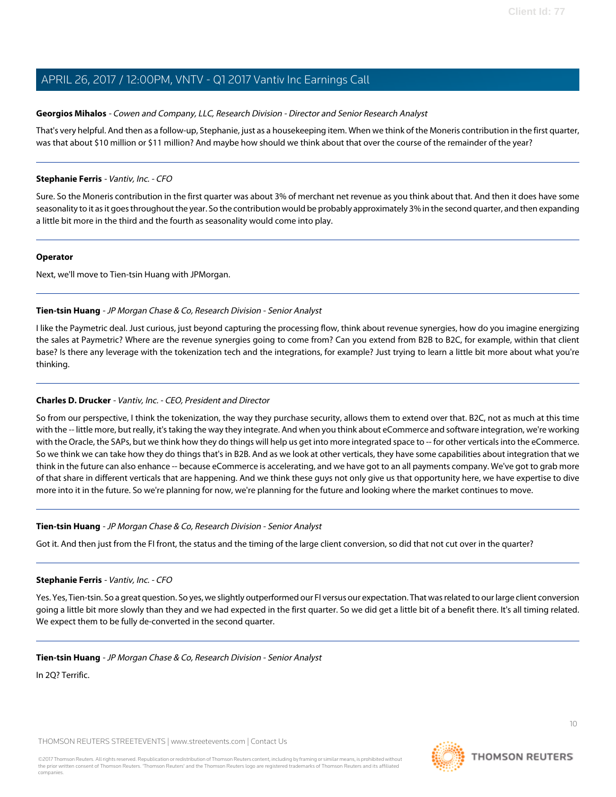#### **Georgios Mihalos** - Cowen and Company, LLC, Research Division - Director and Senior Research Analyst

That's very helpful. And then as a follow-up, Stephanie, just as a housekeeping item. When we think of the Moneris contribution in the first quarter, was that about \$10 million or \$11 million? And maybe how should we think about that over the course of the remainder of the year?

#### **Stephanie Ferris** - Vantiv, Inc. - CFO

Sure. So the Moneris contribution in the first quarter was about 3% of merchant net revenue as you think about that. And then it does have some seasonality to it as it goes throughout the year. So the contribution would be probably approximately 3% in the second quarter, and then expanding a little bit more in the third and the fourth as seasonality would come into play.

#### **Operator**

<span id="page-9-0"></span>Next, we'll move to Tien-tsin Huang with JPMorgan.

### **Tien-tsin Huang** - JP Morgan Chase & Co, Research Division - Senior Analyst

I like the Paymetric deal. Just curious, just beyond capturing the processing flow, think about revenue synergies, how do you imagine energizing the sales at Paymetric? Where are the revenue synergies going to come from? Can you extend from B2B to B2C, for example, within that client base? Is there any leverage with the tokenization tech and the integrations, for example? Just trying to learn a little bit more about what you're thinking.

### **Charles D. Drucker** - Vantiv, Inc. - CEO, President and Director

So from our perspective, I think the tokenization, the way they purchase security, allows them to extend over that. B2C, not as much at this time with the -- little more, but really, it's taking the way they integrate. And when you think about eCommerce and software integration, we're working with the Oracle, the SAPs, but we think how they do things will help us get into more integrated space to -- for other verticals into the eCommerce. So we think we can take how they do things that's in B2B. And as we look at other verticals, they have some capabilities about integration that we think in the future can also enhance -- because eCommerce is accelerating, and we have got to an all payments company. We've got to grab more of that share in different verticals that are happening. And we think these guys not only give us that opportunity here, we have expertise to dive more into it in the future. So we're planning for now, we're planning for the future and looking where the market continues to move.

#### **Tien-tsin Huang** - JP Morgan Chase & Co, Research Division - Senior Analyst

Got it. And then just from the FI front, the status and the timing of the large client conversion, so did that not cut over in the quarter?

#### **Stephanie Ferris** - Vantiv, Inc. - CFO

Yes. Yes, Tien-tsin. So a great question. So yes, we slightly outperformed our FI versus our expectation. That was related to our large client conversion going a little bit more slowly than they and we had expected in the first quarter. So we did get a little bit of a benefit there. It's all timing related. We expect them to be fully de-converted in the second quarter.

#### **Tien-tsin Huang** - JP Morgan Chase & Co, Research Division - Senior Analyst

In 2Q? Terrific.

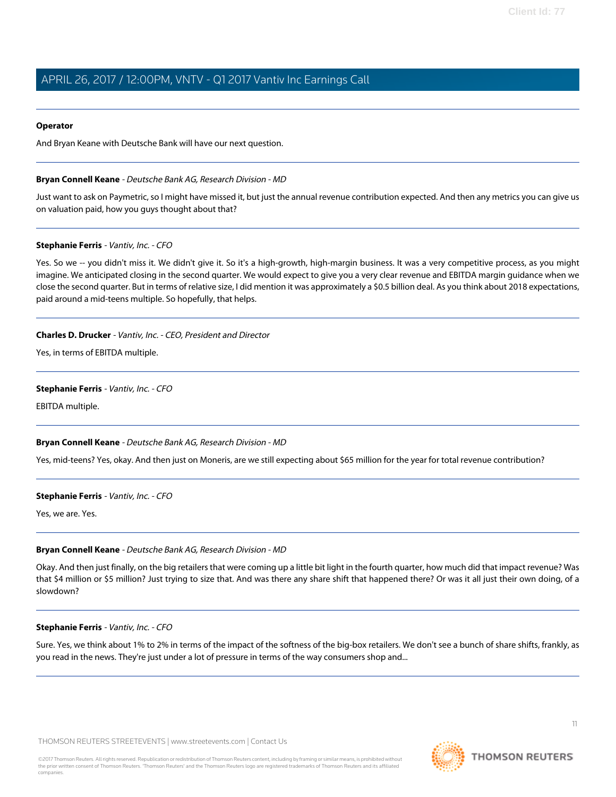#### **Operator**

<span id="page-10-0"></span>And Bryan Keane with Deutsche Bank will have our next question.

#### **Bryan Connell Keane** - Deutsche Bank AG, Research Division - MD

Just want to ask on Paymetric, so I might have missed it, but just the annual revenue contribution expected. And then any metrics you can give us on valuation paid, how you guys thought about that?

#### **Stephanie Ferris** - Vantiv, Inc. - CFO

Yes. So we -- you didn't miss it. We didn't give it. So it's a high-growth, high-margin business. It was a very competitive process, as you might imagine. We anticipated closing in the second quarter. We would expect to give you a very clear revenue and EBITDA margin guidance when we close the second quarter. But in terms of relative size, I did mention it was approximately a \$0.5 billion deal. As you think about 2018 expectations, paid around a mid-teens multiple. So hopefully, that helps.

#### **Charles D. Drucker** - Vantiv, Inc. - CEO, President and Director

Yes, in terms of EBITDA multiple.

#### **Stephanie Ferris** - Vantiv, Inc. - CFO

EBITDA multiple.

#### **Bryan Connell Keane** - Deutsche Bank AG, Research Division - MD

Yes, mid-teens? Yes, okay. And then just on Moneris, are we still expecting about \$65 million for the year for total revenue contribution?

#### **Stephanie Ferris** - Vantiv, Inc. - CFO

Yes, we are. Yes.

#### **Bryan Connell Keane** - Deutsche Bank AG, Research Division - MD

Okay. And then just finally, on the big retailers that were coming up a little bit light in the fourth quarter, how much did that impact revenue? Was that \$4 million or \$5 million? Just trying to size that. And was there any share shift that happened there? Or was it all just their own doing, of a slowdown?

#### **Stephanie Ferris** - Vantiv, Inc. - CFO

Sure. Yes, we think about 1% to 2% in terms of the impact of the softness of the big-box retailers. We don't see a bunch of share shifts, frankly, as you read in the news. They're just under a lot of pressure in terms of the way consumers shop and...

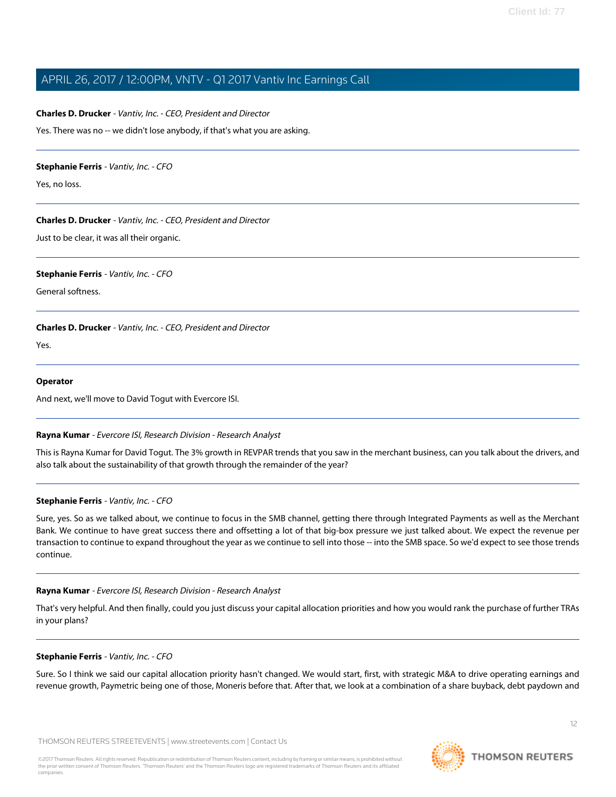#### **Charles D. Drucker** - Vantiv, Inc. - CEO, President and Director

Yes. There was no -- we didn't lose anybody, if that's what you are asking.

#### **Stephanie Ferris** - Vantiv, Inc. - CFO

Yes, no loss.

#### **Charles D. Drucker** - Vantiv, Inc. - CEO, President and Director

Just to be clear, it was all their organic.

#### **Stephanie Ferris** - Vantiv, Inc. - CFO

General softness.

**Charles D. Drucker** - Vantiv, Inc. - CEO, President and Director

Yes.

#### **Operator**

<span id="page-11-0"></span>And next, we'll move to David Togut with Evercore ISI.

#### **Rayna Kumar** - Evercore ISI, Research Division - Research Analyst

This is Rayna Kumar for David Togut. The 3% growth in REVPAR trends that you saw in the merchant business, can you talk about the drivers, and also talk about the sustainability of that growth through the remainder of the year?

#### **Stephanie Ferris** - Vantiv, Inc. - CFO

Sure, yes. So as we talked about, we continue to focus in the SMB channel, getting there through Integrated Payments as well as the Merchant Bank. We continue to have great success there and offsetting a lot of that big-box pressure we just talked about. We expect the revenue per transaction to continue to expand throughout the year as we continue to sell into those -- into the SMB space. So we'd expect to see those trends continue.

#### **Rayna Kumar** - Evercore ISI, Research Division - Research Analyst

That's very helpful. And then finally, could you just discuss your capital allocation priorities and how you would rank the purchase of further TRAs in your plans?

#### **Stephanie Ferris** - Vantiv, Inc. - CFO

Sure. So I think we said our capital allocation priority hasn't changed. We would start, first, with strategic M&A to drive operating earnings and revenue growth, Paymetric being one of those, Moneris before that. After that, we look at a combination of a share buyback, debt paydown and

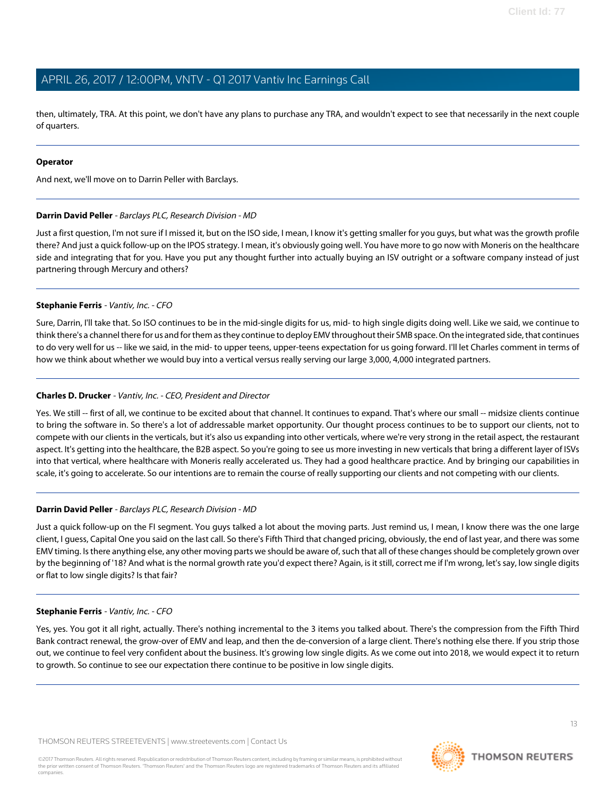then, ultimately, TRA. At this point, we don't have any plans to purchase any TRA, and wouldn't expect to see that necessarily in the next couple of quarters.

#### **Operator**

<span id="page-12-0"></span>And next, we'll move on to Darrin Peller with Barclays.

#### **Darrin David Peller** - Barclays PLC, Research Division - MD

Just a first question, I'm not sure if I missed it, but on the ISO side, I mean, I know it's getting smaller for you guys, but what was the growth profile there? And just a quick follow-up on the IPOS strategy. I mean, it's obviously going well. You have more to go now with Moneris on the healthcare side and integrating that for you. Have you put any thought further into actually buying an ISV outright or a software company instead of just partnering through Mercury and others?

#### **Stephanie Ferris** - Vantiv, Inc. - CFO

Sure, Darrin, I'll take that. So ISO continues to be in the mid-single digits for us, mid- to high single digits doing well. Like we said, we continue to think there's a channel there for us and for them as they continue to deploy EMV throughout their SMB space. On the integrated side, that continues to do very well for us -- like we said, in the mid- to upper teens, upper-teens expectation for us going forward. I'll let Charles comment in terms of how we think about whether we would buy into a vertical versus really serving our large 3,000, 4,000 integrated partners.

### **Charles D. Drucker** - Vantiv, Inc. - CEO, President and Director

Yes. We still -- first of all, we continue to be excited about that channel. It continues to expand. That's where our small -- midsize clients continue to bring the software in. So there's a lot of addressable market opportunity. Our thought process continues to be to support our clients, not to compete with our clients in the verticals, but it's also us expanding into other verticals, where we're very strong in the retail aspect, the restaurant aspect. It's getting into the healthcare, the B2B aspect. So you're going to see us more investing in new verticals that bring a different layer of ISVs into that vertical, where healthcare with Moneris really accelerated us. They had a good healthcare practice. And by bringing our capabilities in scale, it's going to accelerate. So our intentions are to remain the course of really supporting our clients and not competing with our clients.

### **Darrin David Peller** - Barclays PLC, Research Division - MD

Just a quick follow-up on the FI segment. You guys talked a lot about the moving parts. Just remind us, I mean, I know there was the one large client, I guess, Capital One you said on the last call. So there's Fifth Third that changed pricing, obviously, the end of last year, and there was some EMV timing. Is there anything else, any other moving parts we should be aware of, such that all of these changes should be completely grown over by the beginning of '18? And what is the normal growth rate you'd expect there? Again, is it still, correct me if I'm wrong, let's say, low single digits or flat to low single digits? Is that fair?

#### **Stephanie Ferris** - Vantiv, Inc. - CFO

Yes, yes. You got it all right, actually. There's nothing incremental to the 3 items you talked about. There's the compression from the Fifth Third Bank contract renewal, the grow-over of EMV and leap, and then the de-conversion of a large client. There's nothing else there. If you strip those out, we continue to feel very confident about the business. It's growing low single digits. As we come out into 2018, we would expect it to return to growth. So continue to see our expectation there continue to be positive in low single digits.

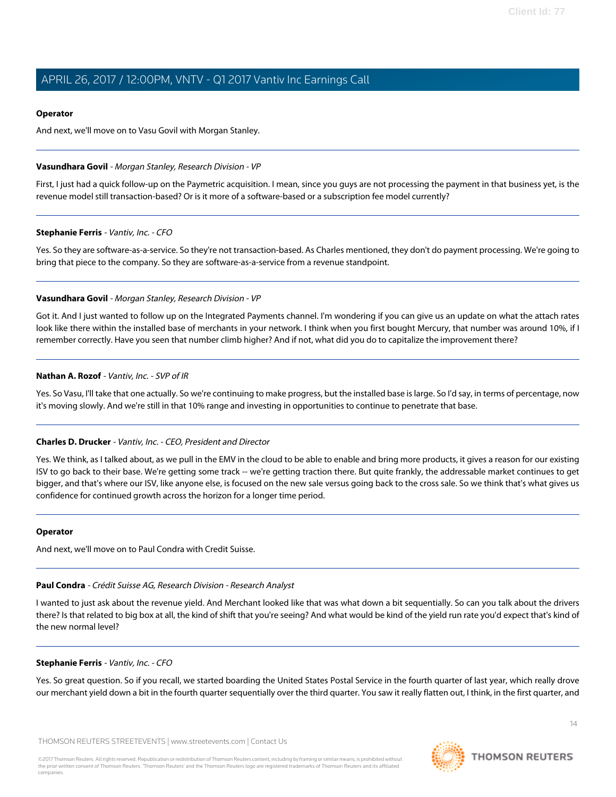### **Operator**

And next, we'll move on to Vasu Govil with Morgan Stanley.

#### <span id="page-13-1"></span>**Vasundhara Govil** - Morgan Stanley, Research Division - VP

First, I just had a quick follow-up on the Paymetric acquisition. I mean, since you guys are not processing the payment in that business yet, is the revenue model still transaction-based? Or is it more of a software-based or a subscription fee model currently?

#### **Stephanie Ferris** - Vantiv, Inc. - CFO

Yes. So they are software-as-a-service. So they're not transaction-based. As Charles mentioned, they don't do payment processing. We're going to bring that piece to the company. So they are software-as-a-service from a revenue standpoint.

#### **Vasundhara Govil** - Morgan Stanley, Research Division - VP

Got it. And I just wanted to follow up on the Integrated Payments channel. I'm wondering if you can give us an update on what the attach rates look like there within the installed base of merchants in your network. I think when you first bought Mercury, that number was around 10%, if I remember correctly. Have you seen that number climb higher? And if not, what did you do to capitalize the improvement there?

#### **Nathan A. Rozof** - Vantiv, Inc. - SVP of IR

Yes. So Vasu, I'll take that one actually. So we're continuing to make progress, but the installed base is large. So I'd say, in terms of percentage, now it's moving slowly. And we're still in that 10% range and investing in opportunities to continue to penetrate that base.

### **Charles D. Drucker** - Vantiv, Inc. - CEO, President and Director

Yes. We think, as I talked about, as we pull in the EMV in the cloud to be able to enable and bring more products, it gives a reason for our existing ISV to go back to their base. We're getting some track -- we're getting traction there. But quite frankly, the addressable market continues to get bigger, and that's where our ISV, like anyone else, is focused on the new sale versus going back to the cross sale. So we think that's what gives us confidence for continued growth across the horizon for a longer time period.

#### <span id="page-13-0"></span>**Operator**

And next, we'll move on to Paul Condra with Credit Suisse.

# **Paul Condra** - Crédit Suisse AG, Research Division - Research Analyst

I wanted to just ask about the revenue yield. And Merchant looked like that was what down a bit sequentially. So can you talk about the drivers there? Is that related to big box at all, the kind of shift that you're seeing? And what would be kind of the yield run rate you'd expect that's kind of the new normal level?

# **Stephanie Ferris** - Vantiv, Inc. - CFO

Yes. So great question. So if you recall, we started boarding the United States Postal Service in the fourth quarter of last year, which really drove our merchant yield down a bit in the fourth quarter sequentially over the third quarter. You saw it really flatten out, I think, in the first quarter, and

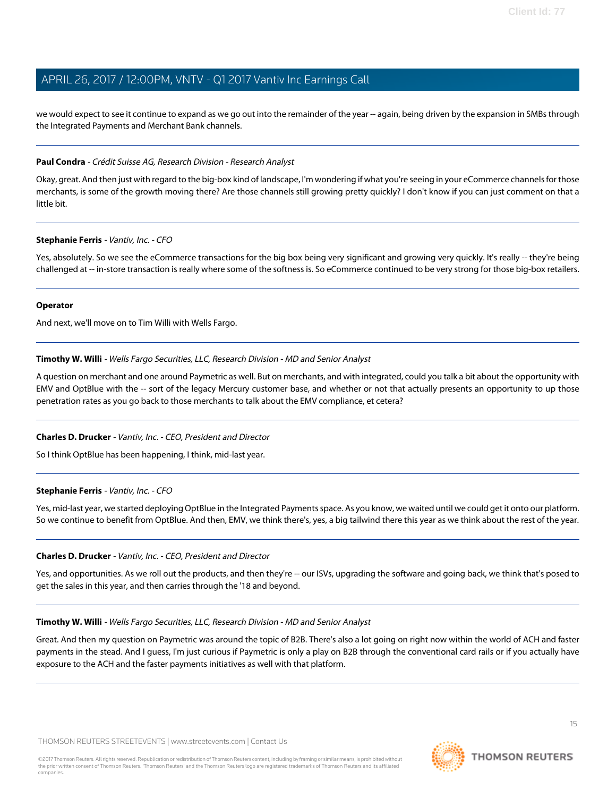we would expect to see it continue to expand as we go out into the remainder of the year -- again, being driven by the expansion in SMBs through the Integrated Payments and Merchant Bank channels.

#### **Paul Condra** - Crédit Suisse AG, Research Division - Research Analyst

Okay, great. And then just with regard to the big-box kind of landscape, I'm wondering if what you're seeing in your eCommerce channels for those merchants, is some of the growth moving there? Are those channels still growing pretty quickly? I don't know if you can just comment on that a little bit.

#### **Stephanie Ferris** - Vantiv, Inc. - CFO

Yes, absolutely. So we see the eCommerce transactions for the big box being very significant and growing very quickly. It's really -- they're being challenged at -- in-store transaction is really where some of the softness is. So eCommerce continued to be very strong for those big-box retailers.

#### **Operator**

<span id="page-14-0"></span>And next, we'll move on to Tim Willi with Wells Fargo.

#### **Timothy W. Willi** - Wells Fargo Securities, LLC, Research Division - MD and Senior Analyst

A question on merchant and one around Paymetric as well. But on merchants, and with integrated, could you talk a bit about the opportunity with EMV and OptBlue with the -- sort of the legacy Mercury customer base, and whether or not that actually presents an opportunity to up those penetration rates as you go back to those merchants to talk about the EMV compliance, et cetera?

#### **Charles D. Drucker** - Vantiv, Inc. - CEO, President and Director

So I think OptBlue has been happening, I think, mid-last year.

#### **Stephanie Ferris** - Vantiv, Inc. - CFO

Yes, mid-last year, we started deploying OptBlue in the Integrated Payments space. As you know, we waited until we could get it onto our platform. So we continue to benefit from OptBlue. And then, EMV, we think there's, yes, a big tailwind there this year as we think about the rest of the year.

#### **Charles D. Drucker** - Vantiv, Inc. - CEO, President and Director

Yes, and opportunities. As we roll out the products, and then they're -- our ISVs, upgrading the software and going back, we think that's posed to get the sales in this year, and then carries through the '18 and beyond.

#### **Timothy W. Willi** - Wells Fargo Securities, LLC, Research Division - MD and Senior Analyst

Great. And then my question on Paymetric was around the topic of B2B. There's also a lot going on right now within the world of ACH and faster payments in the stead. And I guess, I'm just curious if Paymetric is only a play on B2B through the conventional card rails or if you actually have exposure to the ACH and the faster payments initiatives as well with that platform.

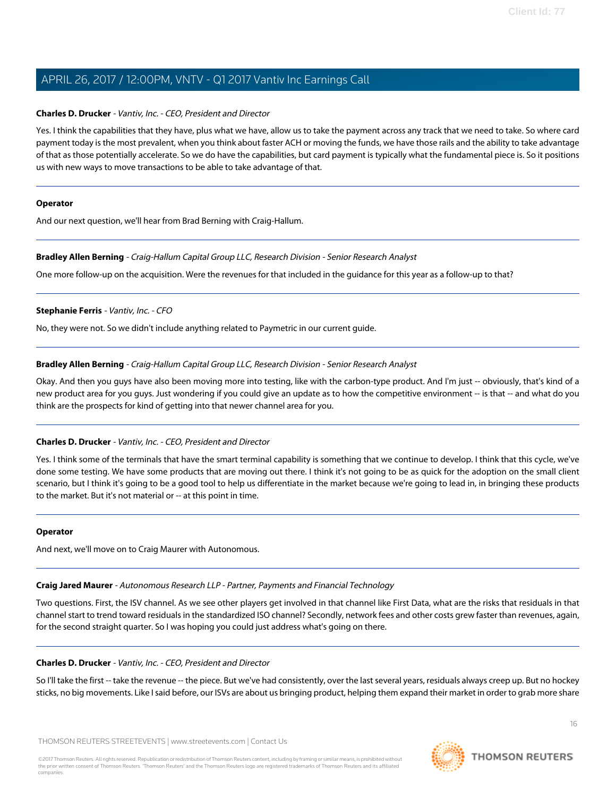#### **Charles D. Drucker** - Vantiv, Inc. - CEO, President and Director

Yes. I think the capabilities that they have, plus what we have, allow us to take the payment across any track that we need to take. So where card payment today is the most prevalent, when you think about faster ACH or moving the funds, we have those rails and the ability to take advantage of that as those potentially accelerate. So we do have the capabilities, but card payment is typically what the fundamental piece is. So it positions us with new ways to move transactions to be able to take advantage of that.

#### **Operator**

<span id="page-15-0"></span>And our next question, we'll hear from Brad Berning with Craig-Hallum.

#### **Bradley Allen Berning** - Craig-Hallum Capital Group LLC, Research Division - Senior Research Analyst

One more follow-up on the acquisition. Were the revenues for that included in the guidance for this year as a follow-up to that?

#### **Stephanie Ferris** - Vantiv, Inc. - CFO

No, they were not. So we didn't include anything related to Paymetric in our current guide.

#### **Bradley Allen Berning** - Craig-Hallum Capital Group LLC, Research Division - Senior Research Analyst

Okay. And then you guys have also been moving more into testing, like with the carbon-type product. And I'm just -- obviously, that's kind of a new product area for you guys. Just wondering if you could give an update as to how the competitive environment -- is that -- and what do you think are the prospects for kind of getting into that newer channel area for you.

#### **Charles D. Drucker** - Vantiv, Inc. - CEO, President and Director

Yes. I think some of the terminals that have the smart terminal capability is something that we continue to develop. I think that this cycle, we've done some testing. We have some products that are moving out there. I think it's not going to be as quick for the adoption on the small client scenario, but I think it's going to be a good tool to help us differentiate in the market because we're going to lead in, in bringing these products to the market. But it's not material or -- at this point in time.

#### <span id="page-15-1"></span>**Operator**

And next, we'll move on to Craig Maurer with Autonomous.

# **Craig Jared Maurer** - Autonomous Research LLP - Partner, Payments and Financial Technology

Two questions. First, the ISV channel. As we see other players get involved in that channel like First Data, what are the risks that residuals in that channel start to trend toward residuals in the standardized ISO channel? Secondly, network fees and other costs grew faster than revenues, again, for the second straight quarter. So I was hoping you could just address what's going on there.

# **Charles D. Drucker** - Vantiv, Inc. - CEO, President and Director

So I'll take the first -- take the revenue -- the piece. But we've had consistently, over the last several years, residuals always creep up. But no hockey sticks, no big movements. Like I said before, our ISVs are about us bringing product, helping them expand their market in order to grab more share

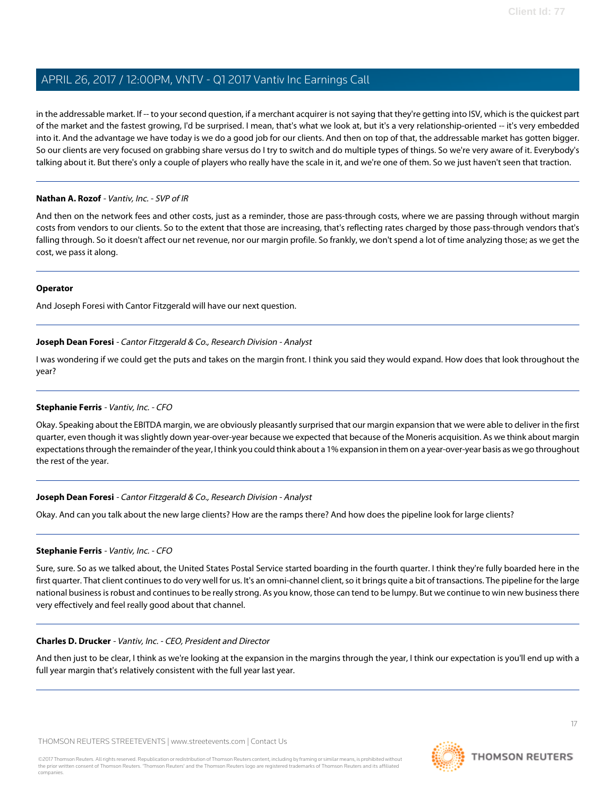in the addressable market. If -- to your second question, if a merchant acquirer is not saying that they're getting into ISV, which is the quickest part of the market and the fastest growing, I'd be surprised. I mean, that's what we look at, but it's a very relationship-oriented -- it's very embedded into it. And the advantage we have today is we do a good job for our clients. And then on top of that, the addressable market has gotten bigger. So our clients are very focused on grabbing share versus do I try to switch and do multiple types of things. So we're very aware of it. Everybody's talking about it. But there's only a couple of players who really have the scale in it, and we're one of them. So we just haven't seen that traction.

#### **Nathan A. Rozof** - Vantiv, Inc. - SVP of IR

And then on the network fees and other costs, just as a reminder, those are pass-through costs, where we are passing through without margin costs from vendors to our clients. So to the extent that those are increasing, that's reflecting rates charged by those pass-through vendors that's falling through. So it doesn't affect our net revenue, nor our margin profile. So frankly, we don't spend a lot of time analyzing those; as we get the cost, we pass it along.

#### **Operator**

<span id="page-16-0"></span>And Joseph Foresi with Cantor Fitzgerald will have our next question.

### **Joseph Dean Foresi** - Cantor Fitzgerald & Co., Research Division - Analyst

I was wondering if we could get the puts and takes on the margin front. I think you said they would expand. How does that look throughout the year?

### **Stephanie Ferris** - Vantiv, Inc. - CFO

Okay. Speaking about the EBITDA margin, we are obviously pleasantly surprised that our margin expansion that we were able to deliver in the first quarter, even though it was slightly down year-over-year because we expected that because of the Moneris acquisition. As we think about margin expectations through the remainder of the year, I think you could think about a 1% expansion in them on a year-over-year basis as we go throughout the rest of the year.

### **Joseph Dean Foresi** - Cantor Fitzgerald & Co., Research Division - Analyst

Okay. And can you talk about the new large clients? How are the ramps there? And how does the pipeline look for large clients?

### **Stephanie Ferris** - Vantiv, Inc. - CFO

Sure, sure. So as we talked about, the United States Postal Service started boarding in the fourth quarter. I think they're fully boarded here in the first quarter. That client continues to do very well for us. It's an omni-channel client, so it brings quite a bit of transactions. The pipeline for the large national business is robust and continues to be really strong. As you know, those can tend to be lumpy. But we continue to win new business there very effectively and feel really good about that channel.

#### **Charles D. Drucker** - Vantiv, Inc. - CEO, President and Director

And then just to be clear, I think as we're looking at the expansion in the margins through the year, I think our expectation is you'll end up with a full year margin that's relatively consistent with the full year last year.

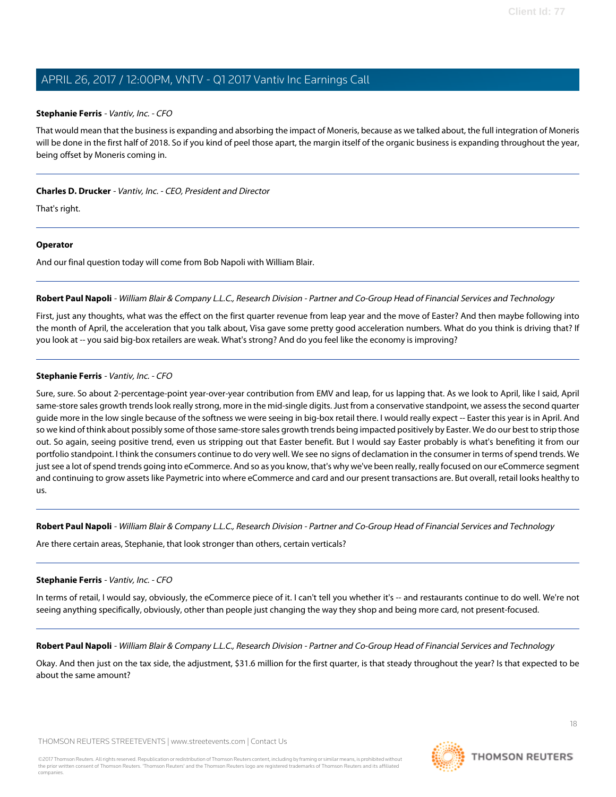#### **Stephanie Ferris** - Vantiv, Inc. - CFO

That would mean that the business is expanding and absorbing the impact of Moneris, because as we talked about, the full integration of Moneris will be done in the first half of 2018. So if you kind of peel those apart, the margin itself of the organic business is expanding throughout the year, being offset by Moneris coming in.

### **Charles D. Drucker** - Vantiv, Inc. - CEO, President and Director

That's right.

#### **Operator**

<span id="page-17-0"></span>And our final question today will come from Bob Napoli with William Blair.

**Robert Paul Napoli** - William Blair & Company L.L.C., Research Division - Partner and Co-Group Head of Financial Services and Technology

First, just any thoughts, what was the effect on the first quarter revenue from leap year and the move of Easter? And then maybe following into the month of April, the acceleration that you talk about, Visa gave some pretty good acceleration numbers. What do you think is driving that? If you look at -- you said big-box retailers are weak. What's strong? And do you feel like the economy is improving?

### **Stephanie Ferris** - Vantiv, Inc. - CFO

Sure, sure. So about 2-percentage-point year-over-year contribution from EMV and leap, for us lapping that. As we look to April, like I said, April same-store sales growth trends look really strong, more in the mid-single digits. Just from a conservative standpoint, we assess the second quarter guide more in the low single because of the softness we were seeing in big-box retail there. I would really expect -- Easter this year is in April. And so we kind of think about possibly some of those same-store sales growth trends being impacted positively by Easter. We do our best to strip those out. So again, seeing positive trend, even us stripping out that Easter benefit. But I would say Easter probably is what's benefiting it from our portfolio standpoint. I think the consumers continue to do very well. We see no signs of declamation in the consumer in terms of spend trends. We just see a lot of spend trends going into eCommerce. And so as you know, that's why we've been really, really focused on our eCommerce segment and continuing to grow assets like Paymetric into where eCommerce and card and our present transactions are. But overall, retail looks healthy to us.

**Robert Paul Napoli** - William Blair & Company L.L.C., Research Division - Partner and Co-Group Head of Financial Services and Technology

Are there certain areas, Stephanie, that look stronger than others, certain verticals?

#### **Stephanie Ferris** - Vantiv, Inc. - CFO

In terms of retail, I would say, obviously, the eCommerce piece of it. I can't tell you whether it's -- and restaurants continue to do well. We're not seeing anything specifically, obviously, other than people just changing the way they shop and being more card, not present-focused.

**Robert Paul Napoli** - William Blair & Company L.L.C., Research Division - Partner and Co-Group Head of Financial Services and Technology

Okay. And then just on the tax side, the adjustment, \$31.6 million for the first quarter, is that steady throughout the year? Is that expected to be about the same amount?

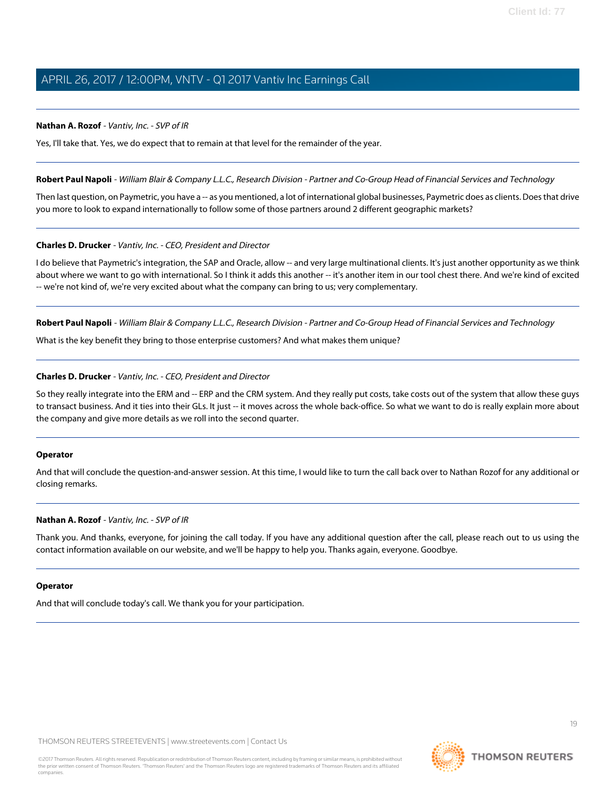#### **Nathan A. Rozof** - Vantiv, Inc. - SVP of IR

Yes, I'll take that. Yes, we do expect that to remain at that level for the remainder of the year.

#### **Robert Paul Napoli** - William Blair & Company L.L.C., Research Division - Partner and Co-Group Head of Financial Services and Technology

Then last question, on Paymetric, you have a -- as you mentioned, a lot of international global businesses, Paymetric does as clients. Does that drive you more to look to expand internationally to follow some of those partners around 2 different geographic markets?

#### **Charles D. Drucker** - Vantiv, Inc. - CEO, President and Director

I do believe that Paymetric's integration, the SAP and Oracle, allow -- and very large multinational clients. It's just another opportunity as we think about where we want to go with international. So I think it adds this another -- it's another item in our tool chest there. And we're kind of excited -- we're not kind of, we're very excited about what the company can bring to us; very complementary.

**Robert Paul Napoli** - William Blair & Company L.L.C., Research Division - Partner and Co-Group Head of Financial Services and Technology

What is the key benefit they bring to those enterprise customers? And what makes them unique?

#### **Charles D. Drucker** - Vantiv, Inc. - CEO, President and Director

So they really integrate into the ERM and -- ERP and the CRM system. And they really put costs, take costs out of the system that allow these guys to transact business. And it ties into their GLs. It just -- it moves across the whole back-office. So what we want to do is really explain more about the company and give more details as we roll into the second quarter.

#### **Operator**

And that will conclude the question-and-answer session. At this time, I would like to turn the call back over to Nathan Rozof for any additional or closing remarks.

#### **Nathan A. Rozof** - Vantiv, Inc. - SVP of IR

Thank you. And thanks, everyone, for joining the call today. If you have any additional question after the call, please reach out to us using the contact information available on our website, and we'll be happy to help you. Thanks again, everyone. Goodbye.

#### **Operator**

And that will conclude today's call. We thank you for your participation.